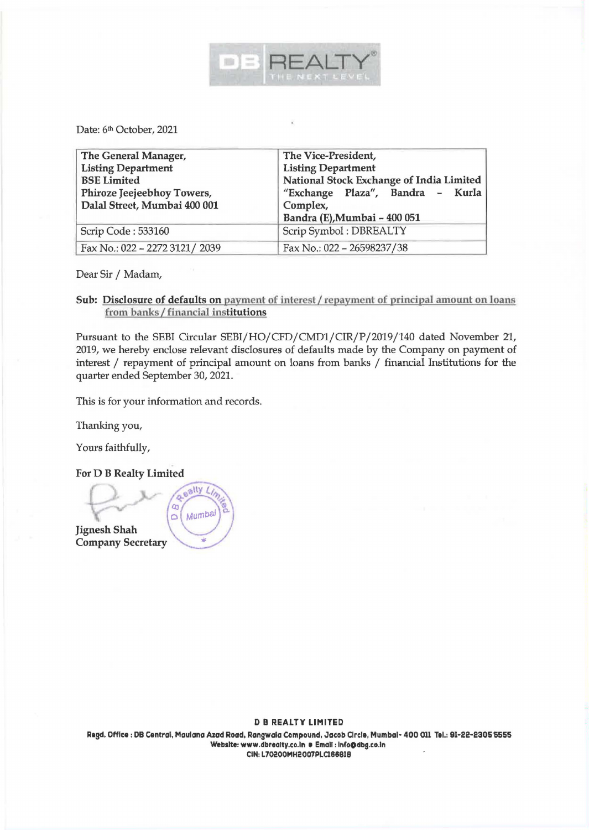

Date: 6th October, 2021

| The General Manager,          | The Vice-President,                      |  |
|-------------------------------|------------------------------------------|--|
| <b>Listing Department</b>     | <b>Listing Department</b>                |  |
| <b>BSE Limited</b>            | National Stock Exchange of India Limited |  |
| Phiroze Jeejeebhoy Towers,    | "Exchange Plaza", Bandra - Kurla         |  |
| Dalal Street, Mumbai 400 001  | Complex,                                 |  |
|                               | Bandra (E), Mumbai - 400 051             |  |
| Scrip Code: 533160            | Scrip Symbol: DBREALTY                   |  |
| Fax No.: 022 - 2272 3121/2039 | Fax No.: 022 - 26598237/38               |  |

Dear Sir / Madam,

## Sub: Disclosure of defaults on payment of interest/ repayment of principal amount on loans from banks/ financial institutions

Pursuant to the SEBI Circular SEBI/HO/CFD/CMD1/CIR/P/2019/140 dated November 21, 2019, we hereby enclose relevant disclosures of defaults made by the Company on payment of interest/ repayment of principal amount on loans from banks / financial Institutions for the quarter ended September 30, 2021.

This is for your information and records.

Thanking you,

Yours faithfully,

**For D B Realty Limited** 

**Qeally L**  $\omega$ Mumbal  $\circ$ **Jignesh Shah Company Secretary** 

## **DB REALTY LIMITED**

Regd, Office : DB Central, Maulana Azad Road, Rangwala Compound, Jacob Circle, Mumbai- 400 Oll Tel.: 91-22-2305 5555 Website: www.dbrealty.co.in  $\bullet$  Email: info@dbg.co.in CIN: L70200MH2007PLC168818